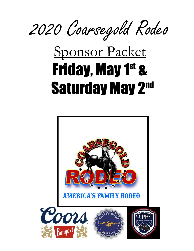2020 Coarsegold Rodeo

# Sponsor Packet Friday, May 1<sup>st</sup> & Saturday May 2<sup>nd</sup>

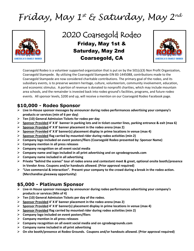## *Friday, May 1st & Saturday, May 2nd*



### 2020 Coarsegold Rodeo Friday, May 1st & Saturday, May 2nd Coarsegold, CA



Coarsegold Rodeo is a volunteer supported organization that is put on by the 501(c)(3) Non Profit Organization, Coarsegold Stampede. By utilizing the Coarsegold Stampede EIN 83-1445088, contributions made to the Coarsegold Stampede are now considered charitable contributions. The primary goal of the rodeo, and its subsidiary events, is to preserve western heritage, culture, volunteerism, community involvement, education, and economic stimulus. A portion of revenue is donated to nonprofit charities, which may include mountain area schools, and the remainder is invested back into rodeo ground's facilities, programs, and future rodeo events. All sponsor levels, \$200 and up, will receive a mention on our Coarsegold Rodeo Facebook page.

#### **\$10,000 - Rodeo Sponsor**

- **Live in-House sponsor messages by announcer during rodeo performances advertising your company's products or services (min of 6 per day)**
- **Ten (10) General Admission Tickets for rodeo per day**
- **Sponsor Provided 4' X 8' banner in parking lots and in ticket counter lines, parking entrance & exit (max 6)**
- **Sponsor Provided 4' X 8' banner placement in the rodeo arena (max 2)**
- **Sponsor Provided 4' X 8' banner(s) placement display in prime locations in venue (max 4)**
- **Sponsor Provided flag carried by mounted rider during rodeo activities (min 2)**
- **Company logo included on event posters/fliers (Coarsegold Rodeo presented by: Sponsor Name)**
- **Company mention in all press releases**
- **Company recognition on all event social media**
- **Company name and logo included in all print advertising and on cgrodeogrounds.com**
- **Company name included in all advertising**
- **Private "behind the scenes" tour of rodeo arena and contestant meet & greet, optional onsite booth/presence in Vendor Area. Coupons and/or handouts allowed. (Prior approval required)**
- **"Live commercial & interaction". Present your company to the crowd during a break in the rodeo action. (Merchandise giveaway opportunity)**

#### **\$5,000 - Platinum Sponsor**

- **Live-in House sponsor messages by announcer during rodeo performances advertising your company's products or services (Min of 4)**
- **Ten (10) General Admission Tickets per day of the rodeo.**
- **Sponsor Provided 4' X 8' banner placement in the rodeo arena (max 2)**
- **Sponsor Provided 4' X 8' banner(s) placement display in prime locations in venue (max 4)**
- **Sponsor Provided flag carried by mounted rider during rodeo activities (min 2)**
- **Company logo included on event posters/fliers**
- **Company mention in all press releases**
- **Company recognition on all event social media and on cgrodeogrounds.com**
- **Company name included in all print advertising**
- **On site booth/presence at Rodeo Grounds. Coupons and/or handouts allowed. (Prior approval required)**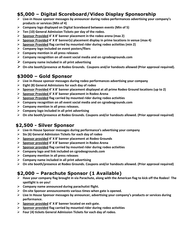#### **\$5,000 – Digital Scoreboard/Video Display Sponsorship**

- **Live-in House sponsor messages by announcer during rodeo performances advertising your company's products or services (Min of 4)**
- **Company logo displayed on Digital Scoreboard between events (Min of 5)**
- **Ten (10) General Admission Tickets per day of the rodeo.**
- **Sponsor Provided 4' X 8' banner placement in the rodeo arena (max 2)**
- **Sponsor Provided 4' X 8' banner(s) placement display in prime locations in venue (max 4)**
- **Sponsor Provided flag carried by mounted rider during rodeo activities (min 2)**
- **Company logo included on event posters/fliers**
- **Company mention in all press releases**
- **Company recognition on all event social media and on cgrodeogrounds.com**
- **Company name included in all print advertising**
- **On-site booth/presence at Rodeo Grounds. Coupons and/or handouts allowed (Prior approval required).**

#### **\$3000 – Gold Sponsor**

- **Live in-House sponsor messages during rodeo performances advertising your company**
- **Eight (8) General Admissions for each day of rodeo**
- **Sponsor Provided 4' X 8' banner placement displayed at all prime Rodeo Ground locations (up to 2)**
- **Sponsor Provided 4' X 8' banner placement in Rodeo Arena**
- **Sponsor Provided flag carried by mounted rider during rodeo activities**
- **Company recognition on all event social media and on cgrodeogrounds.com**
- **Company mention in all press releases.**
- **Company logo included in all print advertising**
- **On site booth/presence at Rodeo Grounds. Coupons and/or handouts allowed. (Prior approval required)**

#### **\$2,500 - Silver Sponsor**

- **Live-In House Sponsor messages during performance's advertising your company**
- **Six (6) General Admission Tickets for each day of rodeo**
- **Sponsor provided 4' X 8' banner placement at Rodeo Grounds**
- **Sponsor provided 4' X 8' banner placement in Rodeo Arena**
- **Sponsor provided flag carried by mounted rider during rodeo activities**
- **Company logo and link included on cgrodeogrounds.com**
- **Company mention in all press releases**
- **Company name included in all print advertising**
- **On site booth/presence at Rodeo Grounds. Coupons and/or handouts allowed. (Prior approval required)**

#### **\$2,000 – Parachute Sponsor (1 Available)**

- **Have your company flag brought in via Parachute, along with the American flag to kick off the Rodeo! The spotlight is on you!**
- **Company name announced during parachutist flight.**
- **On-site Sponsor announcements various times when gate is opened.**
- **Live In House Sponsor messages by announcer, advertising your company's products or services during performance.**
- **Sponsor provided 4' X 8' banner located on exit-gate.**
- **Sponsor provided flag carried by mounted rider during rodeo activities**
- **Four (4) tickets General Admission Tickets for each day of rodeo.**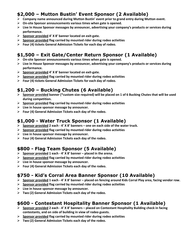#### **\$2,000 – Mutton Bustin' Event Sponsor (2 Available)**

- **Company name announced during Mutton Bustin' event prior to grand entry during Mutton event.**
- **On-site Sponsor announcements various times when gate is opened.**
- **Live In House Sponsor messages by announcer, advertising your company's products or services during performance.**
- **Sponsor provided 4' X 8' banner located on exit-gate.**
- **Sponsor provided flag carried by mounted rider during rodeo activities**
- **Four (4) tickets General Admission Tickets for each day of rodeo.**

#### **\$1,500 – Exit Gate/Center Return Sponsor (1 Available)**

- **On-site Sponsor announcements various times when gate is opened.**
- **Live In House Sponsor messages by announcer, advertising your company's products or services during performance.**
- **Sponsor provided 4' X 8' banner located on exit-gate.**
- **Sponsor provided flag carried by mounted rider during rodeo activities**
- **Four (4) tickets General Admission Tickets for each day of rodeo.**

#### **\$1,200 – Bucking Chutes (6 Available)**

- **Sponsor provided banner (\*custom size required) will be placed on 1 of 6 Bucking Chutes that will be used during competition.**
- **Sponsor provided flag carried by mounted rider during rodeo activities**
- **Live in house sponsor message by announcer.**
- **Four (4) General Admission Tickets each day of the rodeo.**

#### **\$1,000 - Water Truck Sponsor (1 Available)**

- **Sponsor provided 2 each - 4' X 8' banners – one on each side of the water truck.**
- **Sponsor provided flag carried by mounted rider during rodeo activities**
- **Live in house sponsor message by announcer.**
- **Four (4) General Admission Tickets each day of the rodeo.**

#### **\$800 - Flag Team Sponsor (5 Available)**

- **Sponsor provided 1 each - 4' X 8' banner – placed in the arena.**
- **Sponsor provided flag carried by mounted rider during rodeo activities**
- **Live in house sponsor message by announcer.**
- **Four (4) General Admission Tickets each day of the rodeo.**

#### **\$750 - Kid's Corral Area Banner Sponsor (10 Available)**

- **Sponsor provided 1 each - 4' X 8' banner – placed on fencing around Kids Corral Play area, facing vendor row.**
- **Sponsor provided flag carried by mounted rider during rodeo activities**
- **Live in house sponsor message by announcer.**
- **Two (2) General Admission Tickets each day of the rodeo.**

#### **\$600 - Contestant Hospitality Banner Sponsor (1 Available)**

- **Sponsor provided 2 each - 4' X 8' banners – placed on Contestant Hospitality Building check in facing contestants, and on side of building in view of rodeo guests.**
- **Sponsor provided flag carried by mounted rider during rodeo activities**
- **Two (2) General Admission Tickets each day of the rodeo.**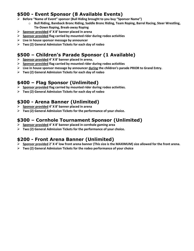#### **\$500 - Event Sponsor (8 Available Events)**

- **Before "Name of Event" sponsor (Bull Riding brought to you buy "Sponsor Name")**
	- o **Bull Riding, Bareback Bronc Riding, Saddle Bronc Riding, Team Roping, Barrel Racing, Steer Wrestling, Tie-Down Roping, Break-away Roping**
- **Sponsor provided 4' X 8' banner placed in arena**
- **Sponsor provided flag carried by mounted rider during rodeo activities**
- **Live in house sponsor message by announcer**
- **Two (2) General Admission Tickets for each day of rodeo**

#### **\$500 – Children's Parade Sponsor (1 Available)**

- **Sponsor provided 4' X 8' banner placed in arena.**
- **Sponsor provided flag carried by mounted rider during rodeo activities**
- **Live in house sponsor message by announcer during the children's parade PRIOR to Grand Entry.**
- **Two (2) General Admission Tickets for each day of rodeo**

#### **\$400 – Flag Sponsor (Unlimited)**

- **Sponsor provided flag carried by mounted rider during rodeo activities.**
- **Two (2) General Admission Tickets for each day of rodeo**

#### **\$300 - Arena Banner (Unlimited)**

- **Sponsor provided 4' X 8' banner placed in arena**
- **Two (2) General Admission Tickets for the performance of your choice.**

#### **\$300 – Cornhole Tournament Sponsor (Unlimited)**

- **Sponsor provided 4' X 8' banner placed in cornhole gaming area**
- **Two (2) General Admission Tickets for the performance of your choice.**

#### **\$200 - Front Arena Banner (Unlimited)**

- **Sponsor provided 2' X 4' low front arena banner (This size is the MAXIMUM) size allowed for the front arena.**
- **Two (2) General Admission Tickets for the rodeo performance of your choice**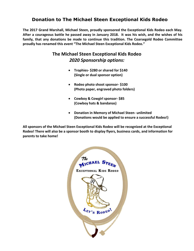#### **Donation to The Michael Steen Exceptional Kids Rodeo**

**The 2017 Grand Marshall, Michael Steen, proudly sponsored the Exceptional Kids Rodeo each May. After a courageous battle he passed away in January 2018. It was his wish, and the wishes of his family, that any donations be made to continue this tradition. The Coarsegold Rodeo Committee proudly has renamed this event "The Michael Steen Exceptional Kids Rodeo."** 

#### **The Michael Steen Exceptional Kids Rodeo** *2020 Sponsorship options:*

- **Trophies- \$280 or shared for \$140 (Single or dual sponsor option)**
- **Rodeo photo shoot sponsor- \$100 (Photo paper, engraved photo folders)**
- **Cowboy & Cowgirl sponsor- \$85 (Cowboy hats & bandanas)**
- **Donation in Memory of Michael Steen- unlimited (Donations would be applied to ensure a successful Rodeo!)**

**All sponsors of the Michael Steen Exceptional Kids Rodeo will be recognized at the Exceptional Rodeo! There will also be a sponsor booth to display flyers, business cards, and information for parents to take home!**